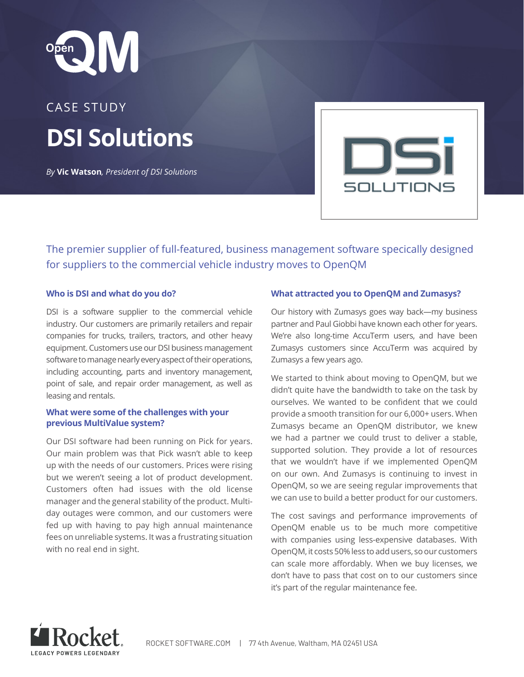

# CASE STUDY **DSI Solutions**

*By* **Vic Watson***, President of DSI Solutions*



The premier supplier of full-featured, business management software specically designed for suppliers to the commercial vehicle industry moves to OpenQM

# **Who is DSI and what do you do?**

DSI is a software supplier to the commercial vehicle industry. Our customers are primarily retailers and repair companies for trucks, trailers, tractors, and other heavy equipment. Customers use our DSI business management software to manage nearly every aspect of their operations, including accounting, parts and inventory management, point of sale, and repair order management, as well as leasing and rentals.

# **What were some of the challenges with your previous MultiValue system?**

Our DSI software had been running on Pick for years. Our main problem was that Pick wasn't able to keep up with the needs of our customers. Prices were rising but we weren't seeing a lot of product development. Customers often had issues with the old license manager and the general stability of the product. Multiday outages were common, and our customers were fed up with having to pay high annual maintenance fees on unreliable systems. It was a frustrating situation with no real end in sight.

# **What attracted you to OpenQM and Zumasys?**

Our history with Zumasys goes way back—my business partner and Paul Giobbi have known each other for years. We're also long-time AccuTerm users, and have been Zumasys customers since AccuTerm was acquired by Zumasys a few years ago.

We started to think about moving to OpenQM, but we didn't quite have the bandwidth to take on the task by ourselves. We wanted to be confident that we could provide a smooth transition for our 6,000+ users. When Zumasys became an OpenQM distributor, we knew we had a partner we could trust to deliver a stable, supported solution. They provide a lot of resources that we wouldn't have if we implemented OpenQM on our own. And Zumasys is continuing to invest in OpenQM, so we are seeing regular improvements that we can use to build a better product for our customers.

The cost savings and performance improvements of OpenQM enable us to be much more competitive with companies using less-expensive databases. With OpenQM, it costs 50% less to add users, so our customers can scale more affordably. When we buy licenses, we don't have to pass that cost on to our customers since it's part of the regular maintenance fee.